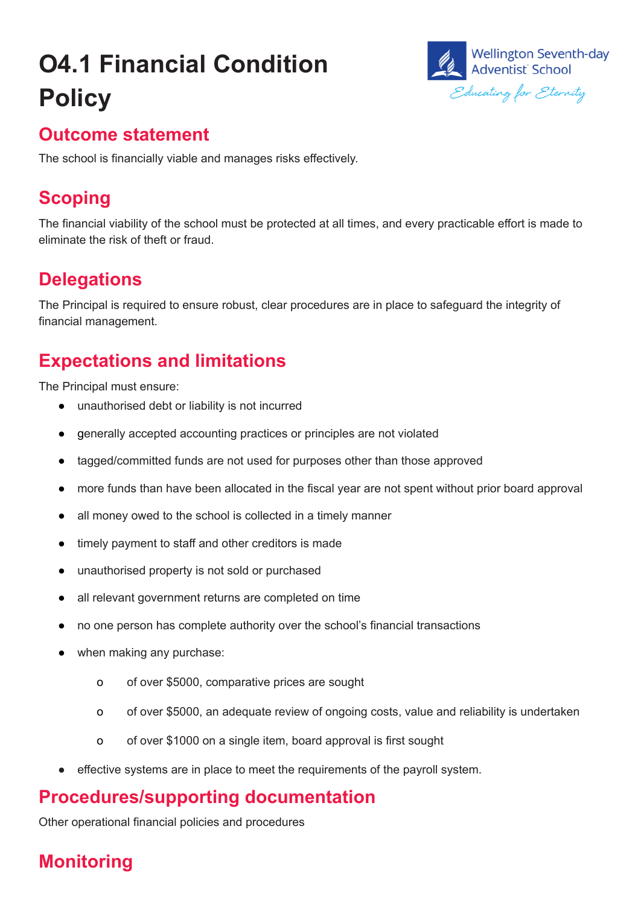# **O4.1 Financial Condition Policy**



#### **Outcome statement**

The school is financially viable and manages risks effectively.

### **Scoping**

The financial viability of the school must be protected at all times, and every practicable effort is made to eliminate the risk of theft or fraud.

### **Delegations**

The Principal is required to ensure robust, clear procedures are in place to safeguard the integrity of financial management.

## **Expectations and limitations**

The Principal must ensure:

- unauthorised debt or liability is not incurred
- generally accepted accounting practices or principles are not violated
- tagged/committed funds are not used for purposes other than those approved
- more funds than have been allocated in the fiscal year are not spent without prior board approval
- all money owed to the school is collected in a timely manner
- timely payment to staff and other creditors is made
- unauthorised property is not sold or purchased
- all relevant government returns are completed on time
- no one person has complete authority over the school's financial transactions
- when making any purchase:
	- o of over \$5000, comparative prices are sought
	- o of over \$5000, an adequate review of ongoing costs, value and reliability is undertaken
	- o of over \$1000 on a single item, board approval is first sought
- effective systems are in place to meet the requirements of the payroll system.

#### **Procedures/supporting documentation**

Other operational financial policies and procedures

# **Monitoring**